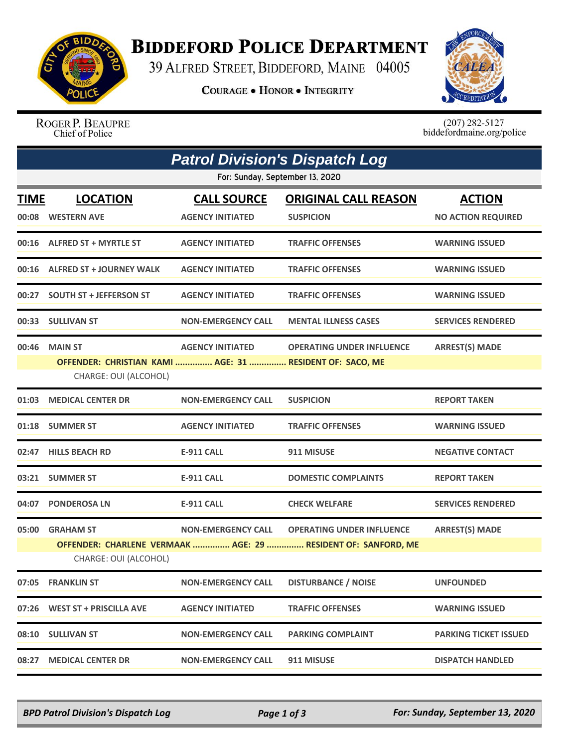

## **BIDDEFORD POLICE DEPARTMENT**

39 ALFRED STREET, BIDDEFORD, MAINE 04005

**COURAGE . HONOR . INTEGRITY** 



ROGER P. BEAUPRE Chief of Police

 $(207)$  282-5127<br>biddefordmaine.org/police

|                                 | <b>Patrol Division's Dispatch Log</b>                                                               |                                               |                                                                                                   |                                            |  |  |  |  |
|---------------------------------|-----------------------------------------------------------------------------------------------------|-----------------------------------------------|---------------------------------------------------------------------------------------------------|--------------------------------------------|--|--|--|--|
| For: Sunday, September 13, 2020 |                                                                                                     |                                               |                                                                                                   |                                            |  |  |  |  |
| TIME                            | <b>LOCATION</b><br>00:08 WESTERN AVE                                                                | <b>CALL SOURCE</b><br><b>AGENCY INITIATED</b> | <b>ORIGINAL CALL REASON</b><br><b>SUSPICION</b>                                                   | <b>ACTION</b><br><b>NO ACTION REQUIRED</b> |  |  |  |  |
|                                 | 00:16 ALFRED ST + MYRTLE ST                                                                         | <b>AGENCY INITIATED</b>                       | <b>TRAFFIC OFFENSES</b>                                                                           | <b>WARNING ISSUED</b>                      |  |  |  |  |
|                                 | 00:16 ALFRED ST + JOURNEY WALK                                                                      | <b>AGENCY INITIATED</b>                       | <b>TRAFFIC OFFENSES</b>                                                                           | <b>WARNING ISSUED</b>                      |  |  |  |  |
|                                 | 00:27 SOUTH ST + JEFFERSON ST                                                                       | <b>AGENCY INITIATED</b>                       | <b>TRAFFIC OFFENSES</b>                                                                           | <b>WARNING ISSUED</b>                      |  |  |  |  |
|                                 | 00:33 SULLIVAN ST                                                                                   | <b>NON-EMERGENCY CALL</b>                     | <b>MENTAL ILLNESS CASES</b>                                                                       | <b>SERVICES RENDERED</b>                   |  |  |  |  |
| 00:46                           | <b>MAIN ST</b><br>OFFENDER: CHRISTIAN KAMI  AGE: 31  RESIDENT OF: SACO, ME<br>CHARGE: OUI (ALCOHOL) | <b>AGENCY INITIATED</b>                       | <b>OPERATING UNDER INFLUENCE</b>                                                                  | <b>ARREST(S) MADE</b>                      |  |  |  |  |
|                                 | 01:03 MEDICAL CENTER DR                                                                             | <b>NON-EMERGENCY CALL</b>                     | <b>SUSPICION</b>                                                                                  | <b>REPORT TAKEN</b>                        |  |  |  |  |
|                                 | 01:18 SUMMER ST                                                                                     | <b>AGENCY INITIATED</b>                       | <b>TRAFFIC OFFENSES</b>                                                                           | <b>WARNING ISSUED</b>                      |  |  |  |  |
|                                 | 02:47 HILLS BEACH RD                                                                                | <b>E-911 CALL</b>                             | 911 MISUSE                                                                                        | <b>NEGATIVE CONTACT</b>                    |  |  |  |  |
|                                 | 03:21 SUMMER ST                                                                                     | <b>E-911 CALL</b>                             | <b>DOMESTIC COMPLAINTS</b>                                                                        | <b>REPORT TAKEN</b>                        |  |  |  |  |
|                                 | 04:07 PONDEROSA LN                                                                                  | E-911 CALL                                    | <b>CHECK WELFARE</b>                                                                              | <b>SERVICES RENDERED</b>                   |  |  |  |  |
|                                 | 05:00 GRAHAM ST<br>CHARGE: OUI (ALCOHOL)                                                            | <b>NON-EMERGENCY CALL</b>                     | <b>OPERATING UNDER INFLUENCE</b><br>OFFENDER: CHARLENE VERMAAK  AGE: 29  RESIDENT OF: SANFORD, ME | <b>ARREST(S) MADE</b>                      |  |  |  |  |
|                                 | 07:05 FRANKLIN ST                                                                                   | <b>NON-EMERGENCY CALL</b>                     | <b>DISTURBANCE / NOISE</b>                                                                        | <b>UNFOUNDED</b>                           |  |  |  |  |
|                                 | 07:26 WEST ST + PRISCILLA AVE                                                                       | <b>AGENCY INITIATED</b>                       | <b>TRAFFIC OFFENSES</b>                                                                           | <b>WARNING ISSUED</b>                      |  |  |  |  |
|                                 | 08:10 SULLIVAN ST                                                                                   | <b>NON-EMERGENCY CALL</b>                     | <b>PARKING COMPLAINT</b>                                                                          | <b>PARKING TICKET ISSUED</b>               |  |  |  |  |
|                                 | 08:27 MEDICAL CENTER DR                                                                             | <b>NON-EMERGENCY CALL</b>                     | 911 MISUSE                                                                                        | <b>DISPATCH HANDLED</b>                    |  |  |  |  |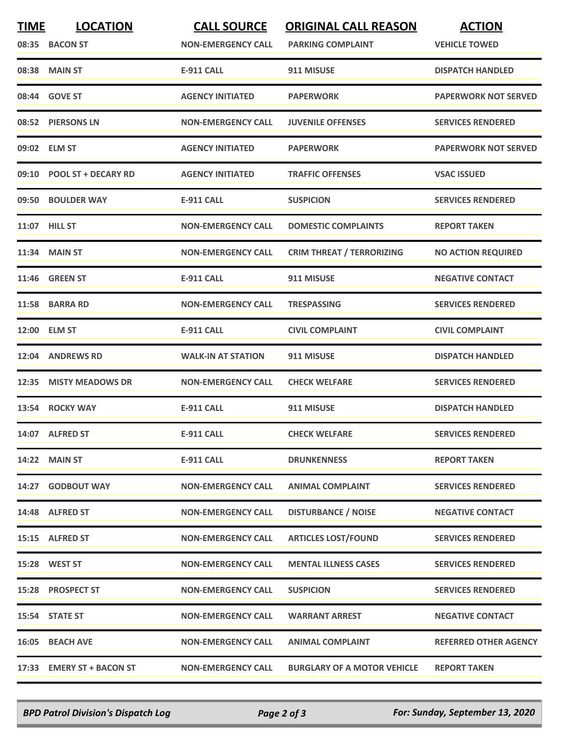| <b>TIME</b> | <b>LOCATION</b><br>08:35 BACON ST | <b>CALL SOURCE</b><br><b>NON-EMERGENCY CALL</b> | <b>ORIGINAL CALL REASON</b><br><b>PARKING COMPLAINT</b> | <b>ACTION</b><br><b>VEHICLE TOWED</b> |
|-------------|-----------------------------------|-------------------------------------------------|---------------------------------------------------------|---------------------------------------|
|             | 08:38 MAIN ST                     | <b>E-911 CALL</b>                               | 911 MISUSE                                              | <b>DISPATCH HANDLED</b>               |
|             | 08:44 GOVE ST                     | <b>AGENCY INITIATED</b>                         | <b>PAPERWORK</b>                                        | <b>PAPERWORK NOT SERVED</b>           |
|             | 08:52 PIERSONS LN                 | <b>NON-EMERGENCY CALL</b>                       | <b>JUVENILE OFFENSES</b>                                | <b>SERVICES RENDERED</b>              |
|             | 09:02 ELM ST                      | <b>AGENCY INITIATED</b>                         | <b>PAPERWORK</b>                                        | <b>PAPERWORK NOT SERVED</b>           |
|             | 09:10 POOL ST + DECARY RD         | <b>AGENCY INITIATED</b>                         | <b>TRAFFIC OFFENSES</b>                                 | <b>VSAC ISSUED</b>                    |
|             | 09:50 BOULDER WAY                 | <b>E-911 CALL</b>                               | <b>SUSPICION</b>                                        | <b>SERVICES RENDERED</b>              |
|             | 11:07 HILL ST                     | <b>NON-EMERGENCY CALL</b>                       | <b>DOMESTIC COMPLAINTS</b>                              | <b>REPORT TAKEN</b>                   |
|             | 11:34 MAIN ST                     | <b>NON-EMERGENCY CALL</b>                       | <b>CRIM THREAT / TERRORIZING</b>                        | <b>NO ACTION REQUIRED</b>             |
| 11:46       | <b>GREEN ST</b>                   | <b>E-911 CALL</b>                               | 911 MISUSE                                              | <b>NEGATIVE CONTACT</b>               |
|             | 11:58 BARRA RD                    | <b>NON-EMERGENCY CALL</b>                       | <b>TRESPASSING</b>                                      | <b>SERVICES RENDERED</b>              |
|             | 12:00 ELM ST                      | <b>E-911 CALL</b>                               | <b>CIVIL COMPLAINT</b>                                  | <b>CIVIL COMPLAINT</b>                |
|             | 12:04 ANDREWS RD                  | <b>WALK-IN AT STATION</b>                       | 911 MISUSE                                              | <b>DISPATCH HANDLED</b>               |
|             | 12:35 MISTY MEADOWS DR            | <b>NON-EMERGENCY CALL</b>                       | <b>CHECK WELFARE</b>                                    | <b>SERVICES RENDERED</b>              |
| 13:54       | <b>ROCKY WAY</b>                  | <b>E-911 CALL</b>                               | 911 MISUSE                                              | <b>DISPATCH HANDLED</b>               |
|             | 14:07 ALFRED ST                   | <b>E-911 CALL</b>                               | <b>CHECK WELFARE</b>                                    | <b>SERVICES RENDERED</b>              |
|             | 14:22 MAIN ST                     | E-911 CALL                                      | <b>DRUNKENNESS</b>                                      | <b>REPORT TAKEN</b>                   |
|             | 14:27 GODBOUT WAY                 | <b>NON-EMERGENCY CALL</b>                       | <b>ANIMAL COMPLAINT</b>                                 | <b>SERVICES RENDERED</b>              |
|             | 14:48 ALFRED ST                   | <b>NON-EMERGENCY CALL</b>                       | <b>DISTURBANCE / NOISE</b>                              | <b>NEGATIVE CONTACT</b>               |
|             | 15:15 ALFRED ST                   | <b>NON-EMERGENCY CALL</b>                       | <b>ARTICLES LOST/FOUND</b>                              | <b>SERVICES RENDERED</b>              |
|             | 15:28 WEST ST                     | <b>NON-EMERGENCY CALL</b>                       | <b>MENTAL ILLNESS CASES</b>                             | <b>SERVICES RENDERED</b>              |
|             | 15:28 PROSPECT ST                 | <b>NON-EMERGENCY CALL</b>                       | <b>SUSPICION</b>                                        | <b>SERVICES RENDERED</b>              |
|             | 15:54 STATE ST                    | <b>NON-EMERGENCY CALL</b>                       | <b>WARRANT ARREST</b>                                   | <b>NEGATIVE CONTACT</b>               |
|             | 16:05 BEACH AVE                   | <b>NON-EMERGENCY CALL</b>                       | <b>ANIMAL COMPLAINT</b>                                 | <b>REFERRED OTHER AGENCY</b>          |
|             | 17:33 EMERY ST + BACON ST         | <b>NON-EMERGENCY CALL</b>                       | <b>BURGLARY OF A MOTOR VEHICLE</b>                      | <b>REPORT TAKEN</b>                   |

*BPD Patrol Division's Dispatch Log Page 2 of 3 For: Sunday, September 13, 2020*